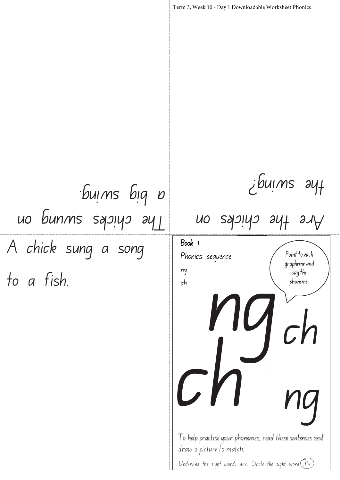Term 3, Week 10 - Day 1 Downloadable Worksheet Phonics the swing? a big swing.

A chick sung a song to a fish. The chicks swung on

To help practise your phonemes, read these sentences and Point to each grapheme and say the phoneme. Book 1 Phonics sequence: ng ch ch ng Are the chicks on draw a picture to match. Underline the sight word: are. Circle the sight word  $\left(\frac{1}{x}$  the ng ch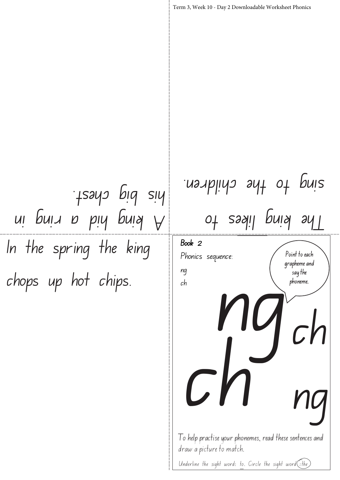In the spring the king chops up hot chips. Point to each grapheme and say the phoneme. Term 3, Week 10 - Day 2 Downloadable Worksheet Phonics Book 2 Phonics sequence: ng ch The king likes to sing to the children. A king hid a ring in his big chest.